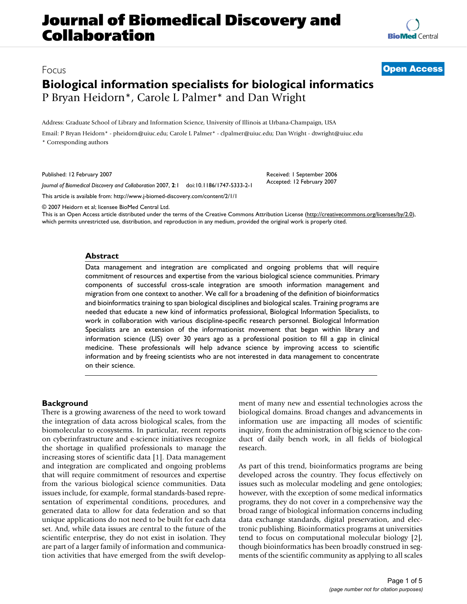## **Journal of Biomedical Discovery and Collaboration**

# **[BioMed](http://www.biomedcentral.com/)** Central

### Focus **[Open Access](http://www.biomedcentral.com/info/about/charter/) Biological information specialists for biological informatics** P Bryan Heidorn\*, Carole L Palmer\* and Dan Wright

Address: Graduate School of Library and Information Science, University of Illinois at Urbana-Champaign, USA

Email: P Bryan Heidorn\* - pheidorn@uiuc.edu; Carole L Palmer\* - clpalmer@uiuc.edu; Dan Wright - dtwright@uiuc.edu \* Corresponding authors

Published: 12 February 2007

*Journal of Biomedical Discovery and Collaboration* 2007, **2**:1 doi:10.1186/1747-5333-2-1

[This article is available from: http://www.j-biomed-discovery.com/content/2/1/1](http://www.j-biomed-discovery.com/content/2/1/1)

© 2007 Heidorn et al; licensee BioMed Central Ltd.

This is an Open Access article distributed under the terms of the Creative Commons Attribution License [\(http://creativecommons.org/licenses/by/2.0\)](http://creativecommons.org/licenses/by/2.0), which permits unrestricted use, distribution, and reproduction in any medium, provided the original work is properly cited.

#### **Abstract**

Data management and integration are complicated and ongoing problems that will require commitment of resources and expertise from the various biological science communities. Primary components of successful cross-scale integration are smooth information management and migration from one context to another. We call for a broadening of the definition of bioinformatics and bioinformatics training to span biological disciplines and biological scales. Training programs are needed that educate a new kind of informatics professional, Biological Information Specialists, to work in collaboration with various discipline-specific research personnel. Biological Information Specialists are an extension of the informationist movement that began within library and information science (LIS) over 30 years ago as a professional position to fill a gap in clinical medicine. These professionals will help advance science by improving access to scientific information and by freeing scientists who are not interested in data management to concentrate on their science.

#### **Background**

There is a growing awareness of the need to work toward the integration of data across biological scales, from the biomolecular to ecosystems. In particular, recent reports on cyberinfrastructure and e-science initiatives recognize the shortage in qualified professionals to manage the increasing stores of scientific data [1]. Data management and integration are complicated and ongoing problems that will require commitment of resources and expertise from the various biological science communities. Data issues include, for example, formal standards-based representation of experimental conditions, procedures, and generated data to allow for data federation and so that unique applications do not need to be built for each data set. And, while data issues are central to the future of the scientific enterprise, they do not exist in isolation. They are part of a larger family of information and communication activities that have emerged from the swift development of many new and essential technologies across the biological domains. Broad changes and advancements in information use are impacting all modes of scientific inquiry, from the administration of big science to the conduct of daily bench work, in all fields of biological research.

Received: 1 September 2006 Accepted: 12 February 2007

As part of this trend, bioinformatics programs are being developed across the country. They focus effectively on issues such as molecular modeling and gene ontologies; however, with the exception of some medical informatics programs, they do not cover in a comprehensive way the broad range of biological information concerns including data exchange standards, digital preservation, and electronic publishing. Bioinformatics programs at universities tend to focus on computational molecular biology [2], though bioinformatics has been broadly construed in segments of the scientific community as applying to all scales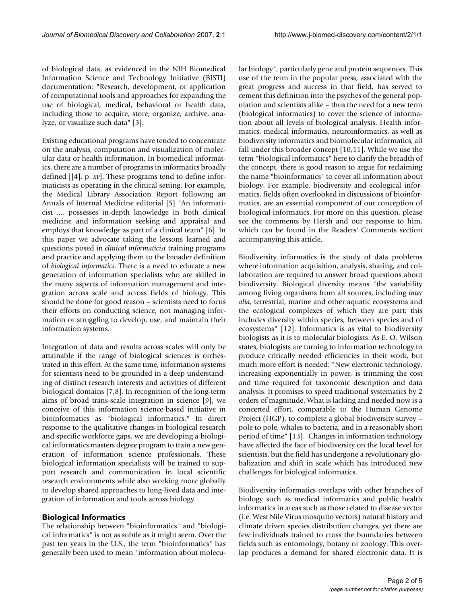of biological data, as evidenced in the NIH Biomedical Information Science and Technology Initiative (BISTI) documentation: "Research, development, or application of computational tools and approaches for expanding the use of biological, medical, behavioral or health data, including those to acquire, store, organize, archive, analyze, or visualize such data" [3].

Existing educational programs have tended to concentrate on the analysis, computation and visualization of molecular data or health information. In biomedical informatics, there are a number of programs in informatics broadly defined [[4], p. *xv*]. These programs tend to define informaticists as operating in the clinical setting. For example, the Medical Library Association Report following an Annals of Internal Medicine editorial [5] "An informaticist ..., possesses in-depth knowledge in both clinical medicine and information seeking and appraisal and employs that knowledge as part of a clinical team" [6]. In this paper we advocate taking the lessons learned and questions posed in *clinical informaticist* training programs and practice and applying them to the broader definition of *biological informatics*. There is a need to educate a new generation of information specialists who are skilled in the many aspects of information management and integration across scale and across fields of biology. This should be done for good reason – scientists need to focus their efforts on conducting science, not managing information or struggling to develop, use, and maintain their information systems.

Integration of data and results across scales will only be attainable if the range of biological sciences is orchestrated in this effort. At the same time, information systems for scientists need to be grounded in a deep understanding of distinct research interests and activities of different biological domains [7,8]. In recognition of the long-term aims of broad trans-scale integration in science [9], we conceive of this information science-based initiative in bioinformatics as "biological informatics." In direct response to the qualitative changes in biological research and specific workforce gaps, we are developing a biological informatics masters degree program to train a new generation of information science professionals. These biological information specialists will be trained to support research and communication in local scientific research environments while also working more globally to develop shared approaches to long-lived data and integration of information and tools across biology.

#### **Biological Informatics**

The relationship between "bioinformatics" and "biological informatics" is not as subtle as it might seem. Over the past ten years in the U.S., the term "bioinformatics" has generally been used to mean "information about molecular biology", particularly gene and protein sequences. This use of the term in the popular press, associated with the great progress and success in that field, has served to cement this definition into the psyches of the general population and scientists alike – thus the need for a new term (biological informatics) to cover the science of information about all levels of biological analysis. Health informatics, medical informatics, neuroinformatics, as well as biodiversity informatics and biomolecular informatics, all fall under this broader concept [10,11]. While we use the term "biological informatics" here to clarify the breadth of the concept, there is good reason to argue for reclaiming the name "bioinformatics" to cover all information about biology. For example, biodiversity and ecological informatics, fields often overlooked in discussions of bioinformatics, are an essential component of our conception of biological informatics. For more on this question, please see the comments by Hersh and our response to him, which can be found in the Readers' Comments section accompanying this article.

Biodiversity informatics is the study of data problems where information acquisition, analysis, sharing, and collaboration are required to answer broad questions about biodiversity. Biological diversity means "the variability among living organisms from all sources, including *inter alia*, terrestrial, marine and other aquatic ecosystems and the ecological complexes of which they are part; this includes diversity within species, between species and of ecosystems" [12]. Informatics is as vital to biodiversity biologists as it is to molecular biologists. As E. O. Wilson states, biologists are turning to information technology to produce critically needed efficiencies in their work, but much more effort is needed: "New electronic technology, increasing exponentially in power, is trimming the cost and time required for taxonomic description and data analysis. It promises to speed traditional systematics by 2 orders of magnitude. What is lacking and needed now is a concerted effort, comparable to the Human Genome Project (HGP), to complete a global biodiversity survey – pole to pole, whales to bacteria, and in a reasonably short period of time" [13]. Changes in information technology have affected the face of biodiversity on the local level for scientists, but the field has undergone a revolutionary globalization and shift in scale which has introduced new challenges for biological informatics.

Biodiversity informatics overlaps with other branches of biology such as medical informatics and public health informatics in areas such as those related to disease vector (i.e. West Nile Virus mosquito vectors) natural history and climate driven species distribution changes, yet there are few individuals trained to cross the boundaries between fields such as entomology, botany or zoology. This overlap produces a demand for shared electronic data. It is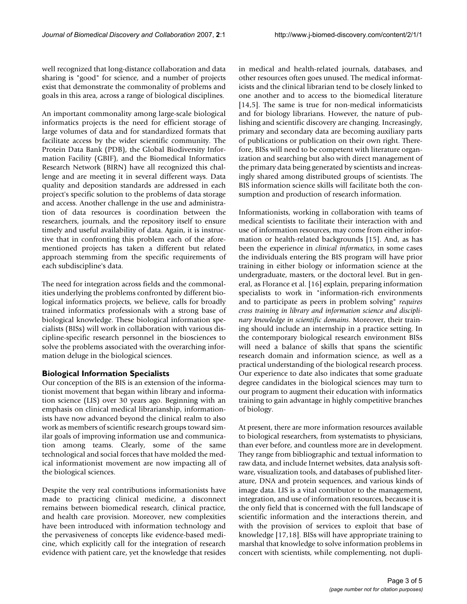well recognized that long-distance collaboration and data sharing is "good" for science, and a number of projects exist that demonstrate the commonality of problems and goals in this area, across a range of biological disciplines.

An important commonality among large-scale biological informatics projects is the need for efficient storage of large volumes of data and for standardized formats that facilitate access by the wider scientific community. The Protein Data Bank (PDB), the Global Biodiversity Information Facility (GBIF), and the Biomedical Informatics Research Network (BIRN) have all recognized this challenge and are meeting it in several different ways. Data quality and deposition standards are addressed in each project's specific solution to the problems of data storage and access. Another challenge in the use and administration of data resources is coordination between the researchers, journals, and the repository itself to ensure timely and useful availability of data. Again, it is instructive that in confronting this problem each of the aforementioned projects has taken a different but related approach stemming from the specific requirements of each subdiscipline's data.

The need for integration across fields and the commonalities underlying the problems confronted by different biological informatics projects, we believe, calls for broadly trained informatics professionals with a strong base of biological knowledge. These biological information specialists (BISs) will work in collaboration with various discipline-specific research personnel in the biosciences to solve the problems associated with the overarching information deluge in the biological sciences.

#### **Biological Information Specialists**

Our conception of the BIS is an extension of the informationist movement that began within library and information science (LIS) over 30 years ago. Beginning with an emphasis on clinical medical librarianship, informationists have now advanced beyond the clinical realm to also work as members of scientific research groups toward similar goals of improving information use and communication among teams. Clearly, some of the same technological and social forces that have molded the medical informationist movement are now impacting all of the biological sciences.

Despite the very real contributions informationists have made to practicing clinical medicine, a disconnect remains between biomedical research, clinical practice, and health care provision. Moreover, new complexities have been introduced with information technology and the pervasiveness of concepts like evidence-based medicine, which explicitly call for the integration of research evidence with patient care, yet the knowledge that resides in medical and health-related journals, databases, and other resources often goes unused. The medical informaticists and the clinical librarian tend to be closely linked to one another and to access to the biomedical literature [14,5]. The same is true for non-medical informaticists and for biology librarians. However, the nature of publishing and scientific discovery are changing. Increasingly, primary and secondary data are becoming auxiliary parts of publications or publication on their own right. Therefore, BISs will need to be competent with literature organization and searching but also with direct management of the primary data being generated by scientists and increasingly shared among distributed groups of scientists. The BIS information science skills will facilitate both the consumption and production of research information.

Informationists, working in collaboration with teams of medical scientists to facilitate their interaction with and use of information resources, may come from either information or health-related backgrounds [15]. And, as has been the experience in *clinical informatics*, in some cases the individuals entering the BIS program will have prior training in either biology or information science at the undergraduate, masters, or the doctoral level. But in general, as Florance et al. [16] explain, preparing information specialists to work in "information-rich environments and to participate as peers in problem solving" *requires cross training in library and information science and disciplinary knowledge in scientific domains*. Moreover, their training should include an internship in a practice setting. In the contemporary biological research environment BISs will need a balance of skills that spans the scientific research domain and information science, as well as a practical understanding of the biological research process. Our experience to date also indicates that some graduate degree candidates in the biological sciences may turn to our program to augment their education with informatics training to gain advantage in highly competitive branches of biology.

At present, there are more information resources available to biological researchers, from systematists to physicians, than ever before, and countless more are in development. They range from bibliographic and textual information to raw data, and include Internet websites, data analysis software, visualization tools, and databases of published literature, DNA and protein sequences, and various kinds of image data. LIS is a vital contributor to the management, integration, and use of information resources, because it is the only field that is concerned with the full landscape of scientific information and the interactions therein, and with the provision of services to exploit that base of knowledge [17,18]. BISs will have appropriate training to marshal that knowledge to solve information problems in concert with scientists, while complementing, not dupli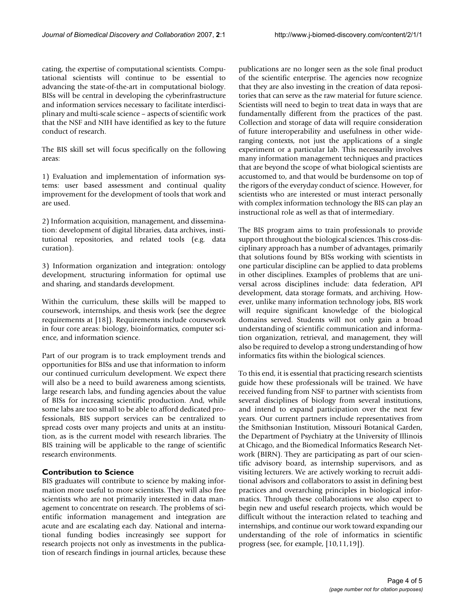cating, the expertise of computational scientists. Computational scientists will continue to be essential to advancing the state-of-the-art in computational biology. BISs will be central in developing the cyberinfrastructure and information services necessary to facilitate interdisciplinary and multi-scale science – aspects of scientific work that the NSF and NIH have identified as key to the future conduct of research.

The BIS skill set will focus specifically on the following areas:

1) Evaluation and implementation of information systems: user based assessment and continual quality improvement for the development of tools that work and are used.

2) Information acquisition, management, and dissemination: development of digital libraries, data archives, institutional repositories, and related tools (e.g. data curation).

3) Information organization and integration: ontology development, structuring information for optimal use and sharing, and standards development.

Within the curriculum, these skills will be mapped to coursework, internships, and thesis work (see the degree requirements at [18]). Requirements include coursework in four core areas: biology, bioinformatics, computer science, and information science.

Part of our program is to track employment trends and opportunities for BISs and use that information to inform our continued curriculum development. We expect there will also be a need to build awareness among scientists, large research labs, and funding agencies about the value of BISs for increasing scientific production. And, while some labs are too small to be able to afford dedicated professionals, BIS support services can be centralized to spread costs over many projects and units at an institution, as is the current model with research libraries. The BIS training will be applicable to the range of scientific research environments.

#### **Contribution to Science**

BIS graduates will contribute to science by making information more useful to more scientists. They will also free scientists who are not primarily interested in data management to concentrate on research. The problems of scientific information management and integration are acute and are escalating each day. National and international funding bodies increasingly see support for research projects not only as investments in the publication of research findings in journal articles, because these publications are no longer seen as the sole final product of the scientific enterprise. The agencies now recognize that they are also investing in the creation of data repositories that can serve as the raw material for future science. Scientists will need to begin to treat data in ways that are fundamentally different from the practices of the past. Collection and storage of data will require consideration of future interoperability and usefulness in other wideranging contexts, not just the applications of a single experiment or a particular lab. This necessarily involves many information management techniques and practices that are beyond the scope of what biological scientists are accustomed to, and that would be burdensome on top of the rigors of the everyday conduct of science. However, for scientists who are interested or must interact personally with complex information technology the BIS can play an instructional role as well as that of intermediary.

The BIS program aims to train professionals to provide support throughout the biological sciences. This cross-disciplinary approach has a number of advantages, primarily that solutions found by BISs working with scientists in one particular discipline can be applied to data problems in other disciplines. Examples of problems that are universal across disciplines include: data federation, API development, data storage formats, and archiving. However, unlike many information technology jobs, BIS work will require significant knowledge of the biological domains served. Students will not only gain a broad understanding of scientific communication and information organization, retrieval, and management, they will also be required to develop a strong understanding of how informatics fits within the biological sciences.

To this end, it is essential that practicing research scientists guide how these professionals will be trained. We have received funding from NSF to partner with scientists from several disciplines of biology from several institutions, and intend to expand participation over the next few years. Our current partners include representatives from the Smithsonian Institution, Missouri Botanical Garden, the Department of Psychiatry at the University of Illinois at Chicago, and the Biomedical Informatics Research Network (BIRN). They are participating as part of our scientific advisory board, as internship supervisors, and as visiting lecturers. We are actively working to recruit additional advisors and collaborators to assist in defining best practices and overarching principles in biological informatics. Through these collaborations we also expect to begin new and useful research projects, which would be difficult without the interaction related to teaching and internships, and continue our work toward expanding our understanding of the role of informatics in scientific progress (see, for example, [10,11,19]).